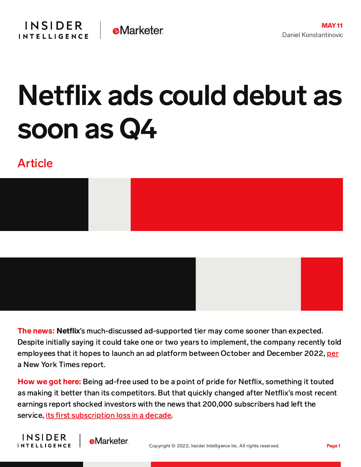## Netflix ads could debut as soon as Q4

## Article



The news: Netflix's much-discussed ad-supported tier may come sooner than expected. Despite initially saying it could take one or two years to implement, the company recently told employees that it hopes to launch an ad platform between October and December 2022, [per](https://www.nytimes.com/2022/05/10/business/media/netflix-commercials.html) a New York Times report.

**How we got here:** Being ad-free used to be a point of pride for Netflix, something it touted as making it better than its competitors. But that quickly changed after Netflix's most recent earnings report shocked investors with the news that 200,000 subscribers had left the service, its first [subscription](https://content-na2.emarketer.com/netflix-loses-subscribers-first-time-decade-mulls-ad-supported-tier) loss in a decade.

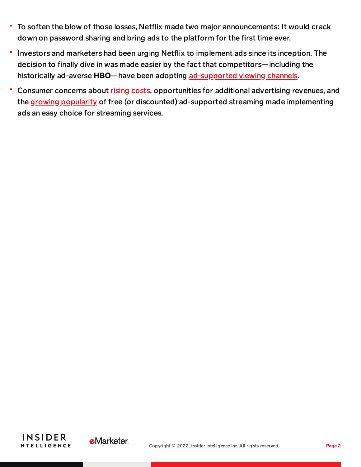- To soften the blow of those losses, Netflix made two major announcements: It would crack down on password sharing and bring ads to the platform for the first time ever.
- Investors and marketers had been urging Netflix to implement ads since its inception. The decision to finally dive in was made easier by the fact that competitors—including the historically ad-averse HBO-have been adopting [ad-supported](https://content-na2.emarketer.com/streaming-services-turn-their-attention-ad-supported-subscription-tiers) viewing channels.
- Consumer concerns about rising [costs,](https://content-na2.emarketer.com/consumers-feel-they-re-overpaying-streaming-services) opportunities for additional advertising revenues, and the growing [popularity](https://content-na2.emarketer.com/tubi-highlights-promising-growth-ad-supported-digital-video) of free (or discounted) ad-supported streaming made implementing ads an easy choice for streaming services.



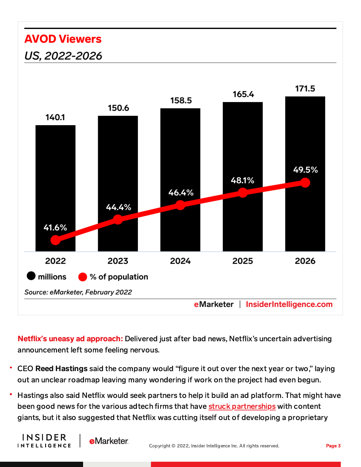## **AVOD Viewers** US, 2022-2026



Netflix's uneasy ad approach: Delivered just after bad news, Netflix's uncertain advertising announcement left some feeling nervous.

- CEO Reed Hastings said the company would "figure it out over the next year or two," laying out an unclear roadmap leaving many wondering if work on the project had even begun.
- Hastings also said Netflix would seek partners to help it build an ad platform. That might have been good news for the various adtech firms that have struck [partnerships](https://content-na2.emarketer.com/goldman-sachs-bets-on-tv-measurement-with-325-million-ispot-investment) with content giants, but it also suggested that Netflix was cutting itself out of developing a proprietary